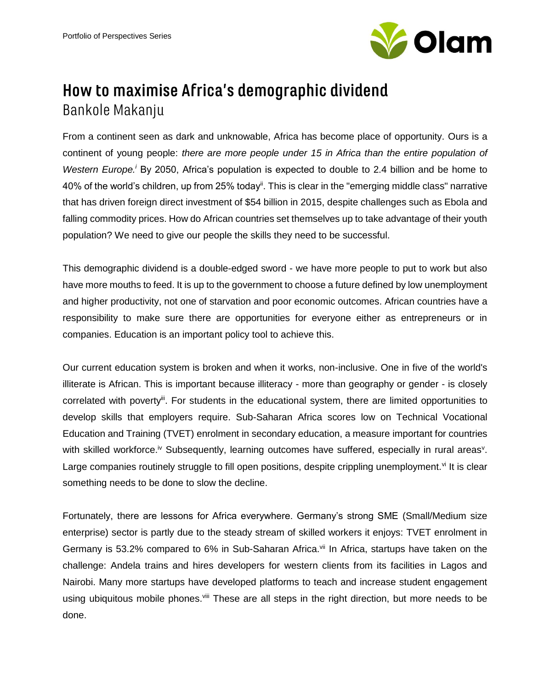

## How to maximise Africa's demographic dividend Bankole Makanju

From a continent seen as dark and unknowable, Africa has become place of opportunity. Ours is a continent of young people: *there are more people under 15 in Africa than the entire population of Western Europe.<sup>i</sup>* By 2050, Africa's population is expected to double to 2.4 billion and be home to 40% of the world's children, up from 25% todayii. This is clear in the "emerging middle class" narrative that has driven foreign direct investment of \$54 billion in 2015, despite challenges such as Ebola and falling commodity prices. How do African countries set themselves up to take advantage of their youth population? We need to give our people the skills they need to be successful.

This demographic dividend is a double-edged sword - we have more people to put to work but also have more mouths to feed. It is up to the government to choose a future defined by low unemployment and higher productivity, not one of starvation and poor economic outcomes. African countries have a responsibility to make sure there are opportunities for everyone either as entrepreneurs or in companies. Education is an important policy tool to achieve this.

Our current education system is broken and when it works, non-inclusive. One in five of the world's illiterate is African. This is important because illiteracy - more than geography or gender - is closely correlated with poverty<sup>ii</sup>. For students in the educational system, there are limited opportunities to develop skills that employers require. Sub-Saharan Africa scores low on Technical Vocational Education and Training (TVET) enrolment in secondary education, a measure important for countries with skilled workforce.<sup>iv</sup> Subsequently, learning outcomes have suffered, especially in rural areas<sup>v</sup>. Large companies routinely struggle to fill open positions, despite crippling unemployment.<sup>vi</sup> It is clear something needs to be done to slow the decline.

Fortunately, there are lessons for Africa everywhere. Germany's strong SME (Small/Medium size enterprise) sector is partly due to the steady stream of skilled workers it enjoys: TVET enrolment in Germany is 53.2% compared to 6% in Sub-Saharan Africa.<sup>vii</sup> In Africa, startups have taken on the challenge: Andela trains and hires developers for western clients from its facilities in Lagos and Nairobi. Many more startups have developed platforms to teach and increase student engagement using ubiquitous mobile phones.<sup>viii</sup> These are all steps in the right direction, but more needs to be done.